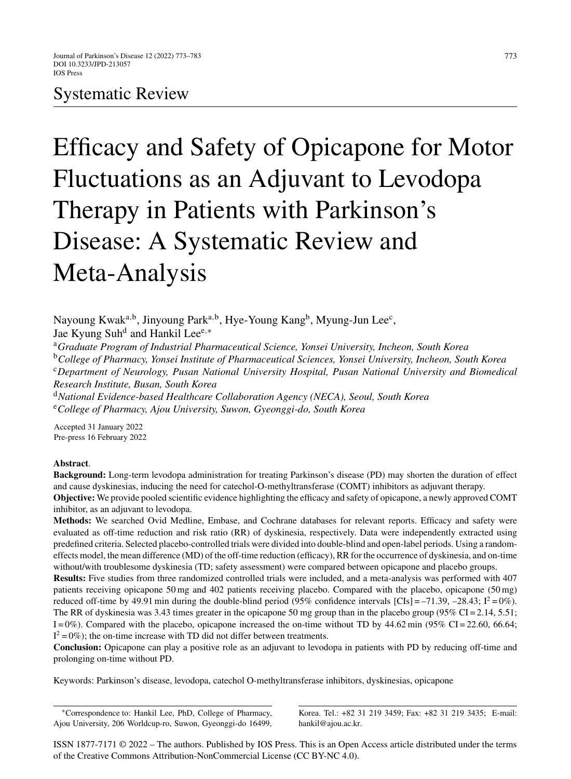# Systematic Review

Efficacy and Safety of Opicapone for Motor Fluctuations as an Adjuvant to Levodopa Therapy in Patients with Parkinson's Disease: A Systematic Review and Meta-Analysis

Nayoung Kwak<sup>a,b</sup>, Jinyoung Park<sup>a,b</sup>, Hye-Young Kang<sup>b</sup>, Myung-Jun Lee<sup>c</sup>, Jae Kyung Suhd and Hankil Leee*,*<sup>∗</sup>

<sup>a</sup>*Graduate Program of Industrial Pharmaceutical Science, Yonsei University, Incheon, South Korea* <sup>b</sup>*College of Pharmacy, Yonsei Institute of Pharmaceutical Sciences, Yonsei University, Incheon, South Korea* <sup>c</sup>*Department of Neurology, Pusan National University Hospital, Pusan National University and Biomedical Research Institute, Busan, South Korea*

<sup>d</sup>*National Evidence-based Healthcare Collaboration Agency (NECA), Seoul, South Korea* <sup>e</sup>*College of Pharmacy, Ajou University, Suwon, Gyeonggi-do, South Korea*

Accepted 31 January 2022 Pre-press 16 February 2022

# **Abstract**.

**Background:** Long-term levodopa administration for treating Parkinson's disease (PD) may shorten the duration of effect and cause dyskinesias, inducing the need for catechol-O-methyltransferase (COMT) inhibitors as adjuvant therapy. **Objective:** We provide pooled scientific evidence highlighting the efficacy and safety of opicapone, a newly approved COMT inhibitor, as an adjuvant to levodopa.

**Methods:** We searched Ovid Medline, Embase, and Cochrane databases for relevant reports. Efficacy and safety were evaluated as off-time reduction and risk ratio (RR) of dyskinesia, respectively. Data were independently extracted using predefined criteria. Selected placebo-controlled trials were divided into double-blind and open-label periods. Using a randomeffects model, the mean difference (MD) of the off-time reduction (efficacy), RR for the occurrence of dyskinesia, and on-time without/with troublesome dyskinesia (TD; safety assessment) were compared between opicapone and placebo groups.

**Results:** Five studies from three randomized controlled trials were included, and a meta-analysis was performed with 407 patients receiving opicapone 50 mg and 402 patients receiving placebo. Compared with the placebo, opicapone (50 mg) reduced off-time by 49.91 min during the double-blind period (95% confidence intervals [CIs] = –71.39, –28.43;  $I^2 = 0\%$ ). The RR of dyskinesia was 3.43 times greater in the opicapone 50 mg group than in the placebo group (95% CI = 2.14, 5.51;  $I = 0\%$ ). Compared with the placebo, opicapone increased the on-time without TD by  $44.62$  min (95% CI = 22.60, 66.64;  $I^2 = 0\%$ ); the on-time increase with TD did not differ between treatments.

**Conclusion:** Opicapone can play a positive role as an adjuvant to levodopa in patients with PD by reducing off-time and prolonging on-time without PD.

Keywords: Parkinson's disease, levodopa, catechol O-methyltransferase inhibitors, dyskinesias, opicapone

∗Correspondence to: Hankil Lee, PhD, College of Pharmacy, Ajou University, 206 Worldcup-ro, Suwon, Gyeonggi-do 16499,

Korea. Tel.: +82 31 219 3459; Fax: +82 31 219 3435; E-mail: [hankil@ajou.ac.kr.](mailto:hankil@ajou.ac.kr)

ISSN 1877-7171 © 2022 – The authors. Published by IOS Press. This is an Open Access article distributed under the terms of the [Creative Commons Attribution-NonCommercial License \(CC BY-NC 4.0\).](https://creativecommons.org/licenses/by/4.0/)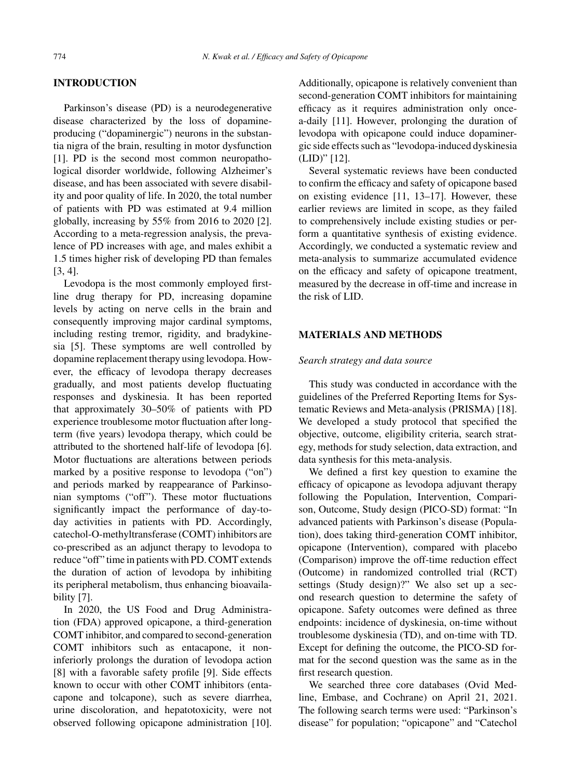#### **INTRODUCTION**

Parkinson's disease (PD) is a neurodegenerative disease characterized by the loss of dopamineproducing ("dopaminergic") neurons in the substantia nigra of the brain, resulting in motor dysfunction [1]. PD is the second most common neuropathological disorder worldwide, following Alzheimer's disease, and has been associated with severe disability and poor quality of life. In 2020, the total number of patients with PD was estimated at 9.4 million globally, increasing by 55% from 2016 to 2020 [2]. According to a meta-regression analysis, the prevalence of PD increases with age, and males exhibit a 1.5 times higher risk of developing PD than females [3, 4].

Levodopa is the most commonly employed firstline drug therapy for PD, increasing dopamine levels by acting on nerve cells in the brain and consequently improving major cardinal symptoms, including resting tremor, rigidity, and bradykinesia [5]. These symptoms are well controlled by dopamine replacement therapy using levodopa. However, the efficacy of levodopa therapy decreases gradually, and most patients develop fluctuating responses and dyskinesia. It has been reported that approximately 30–50% of patients with PD experience troublesome motor fluctuation after longterm (five years) levodopa therapy, which could be attributed to the shortened half-life of levodopa [6]. Motor fluctuations are alterations between periods marked by a positive response to levodopa ("on") and periods marked by reappearance of Parkinsonian symptoms ("off"). These motor fluctuations significantly impact the performance of day-today activities in patients with PD. Accordingly, catechol-O-methyltransferase (COMT) inhibitors are co-prescribed as an adjunct therapy to levodopa to reduce "off" time in patients with PD. COMT extends the duration of action of levodopa by inhibiting its peripheral metabolism, thus enhancing bioavailability [7].

In 2020, the US Food and Drug Administration (FDA) approved opicapone, a third-generation COMT inhibitor, and compared to second-generation COMT inhibitors such as entacapone, it noninferiorly prolongs the duration of levodopa action [8] with a favorable safety profile [9]. Side effects known to occur with other COMT inhibitors (entacapone and tolcapone), such as severe diarrhea, urine discoloration, and hepatotoxicity, were not observed following opicapone administration [10].

Additionally, opicapone is relatively convenient than second-generation COMT inhibitors for maintaining efficacy as it requires administration only oncea-daily [11]. However, prolonging the duration of levodopa with opicapone could induce dopaminergic side effects such as "levodopa-induced dyskinesia (LID)" [12].

Several systematic reviews have been conducted to confirm the efficacy and safety of opicapone based on existing evidence [11, 13–17]. However, these earlier reviews are limited in scope, as they failed to comprehensively include existing studies or perform a quantitative synthesis of existing evidence. Accordingly, we conducted a systematic review and meta-analysis to summarize accumulated evidence on the efficacy and safety of opicapone treatment, measured by the decrease in off-time and increase in the risk of LID.

## **MATERIALS AND METHODS**

#### *Search strategy and data source*

This study was conducted in accordance with the guidelines of the Preferred Reporting Items for Systematic Reviews and Meta-analysis (PRISMA) [18]. We developed a study protocol that specified the objective, outcome, eligibility criteria, search strategy, methods for study selection, data extraction, and data synthesis for this meta-analysis.

We defined a first key question to examine the efficacy of opicapone as levodopa adjuvant therapy following the Population, Intervention, Comparison, Outcome, Study design (PICO-SD) format: "In advanced patients with Parkinson's disease (Population), does taking third-generation COMT inhibitor, opicapone (Intervention), compared with placebo (Comparison) improve the off-time reduction effect (Outcome) in randomized controlled trial (RCT) settings (Study design)?" We also set up a second research question to determine the safety of opicapone. Safety outcomes were defined as three endpoints: incidence of dyskinesia, on-time without troublesome dyskinesia (TD), and on-time with TD. Except for defining the outcome, the PICO-SD format for the second question was the same as in the first research question.

We searched three core databases (Ovid Medline, Embase, and Cochrane) on April 21, 2021. The following search terms were used: "Parkinson's disease" for population; "opicapone" and "Catechol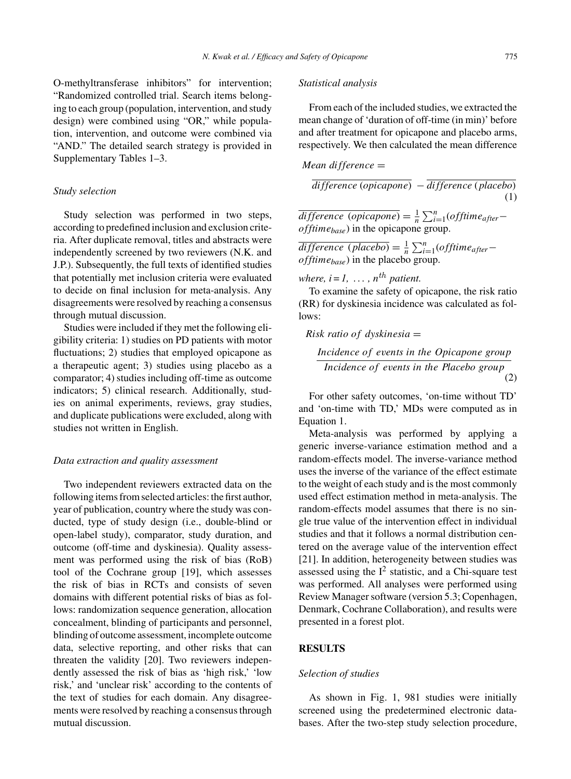O-methyltransferase inhibitors" for intervention; "Randomized controlled trial. Search items belonging to each group (population, intervention, and study design) were combined using "OR," while population, intervention, and outcome were combined via "AND." The detailed search strategy is provided in Supplementary Tables 1–3.

#### *Study selection*

Study selection was performed in two steps, according to predefined inclusion and exclusion criteria. After duplicate removal, titles and abstracts were independently screened by two reviewers (N.K. and J.P.). Subsequently, the full texts of identified studies that potentially met inclusion criteria were evaluated to decide on final inclusion for meta-analysis. Any disagreements were resolved by reaching a consensus through mutual discussion.

Studies were included if they met the following eligibility criteria: 1) studies on PD patients with motor fluctuations; 2) studies that employed opicapone as a therapeutic agent; 3) studies using placebo as a comparator; 4) studies including off-time as outcome indicators; 5) clinical research. Additionally, studies on animal experiments, reviews, gray studies, and duplicate publications were excluded, along with studies not written in English.

#### *Data extraction and quality assessment*

Two independent reviewers extracted data on the following items from selected articles: the first author, year of publication, country where the study was conducted, type of study design (i.e., double-blind or open-label study), comparator, study duration, and outcome (off-time and dyskinesia). Quality assessment was performed using the risk of bias (RoB) tool of the Cochrane group [19], which assesses the risk of bias in RCTs and consists of seven domains with different potential risks of bias as follows: randomization sequence generation, allocation concealment, blinding of participants and personnel, blinding of outcome assessment, incomplete outcome data, selective reporting, and other risks that can threaten the validity [20]. Two reviewers independently assessed the risk of bias as 'high risk,' 'low risk,' and 'unclear risk' according to the contents of the text of studies for each domain. Any disagreements were resolved by reaching a consensus through mutual discussion.

## *Statistical analysis*

From each of the included studies, we extracted the mean change of 'duration of off-time (in min)' before and after treatment for opicapone and placebo arms, respectively. We then calculated the mean difference

Mean difference = 
$$
\overline{\qquad \qquad }
$$

*difference* (*opicapone*) − *difference* (*placebo*) (1)

 $\overline{difference\ (opicapone)} = \frac{1}{n} \sum_{i=1}^{n} (offtime_{after}$ *offtimebase*) in the opicapone group.

 $\overline{difference(\textit{placebo})} = \frac{1}{n} \sum_{i=1}^{n} (offtime_{after}$ *offtimebase*) in the placebo group.

*where,*  $i = 1, \ldots, n^{th}$  *patient.* 

To examine the safety of opicapone, the risk ratio (RR) for dyskinesia incidence was calculated as follows:

Risk ratio of dyskinesia 
$$
=
$$

$$
\frac{Incidence\ of\ events\ in\ the\ Opicapone\ group}{Incidence\ of\ events\ in\ the\ Placebo\ group}\tag{2}
$$

For other safety outcomes, 'on-time without TD' and 'on-time with TD,' MDs were computed as in Equation 1.

Meta-analysis was performed by applying a generic inverse-variance estimation method and a random-effects model. The inverse-variance method uses the inverse of the variance of the effect estimate to the weight of each study and is the most commonly used effect estimation method in meta-analysis. The random-effects model assumes that there is no single true value of the intervention effect in individual studies and that it follows a normal distribution centered on the average value of the intervention effect [21]. In addition, heterogeneity between studies was assessed using the  $I^2$  statistic, and a Chi-square test was performed. All analyses were performed using Review Manager software (version 5.3; Copenhagen, Denmark, Cochrane Collaboration), and results were presented in a forest plot.

#### **RESULTS**

#### *Selection of studies*

As shown in Fig. 1, 981 studies were initially screened using the predetermined electronic databases. After the two-step study selection procedure,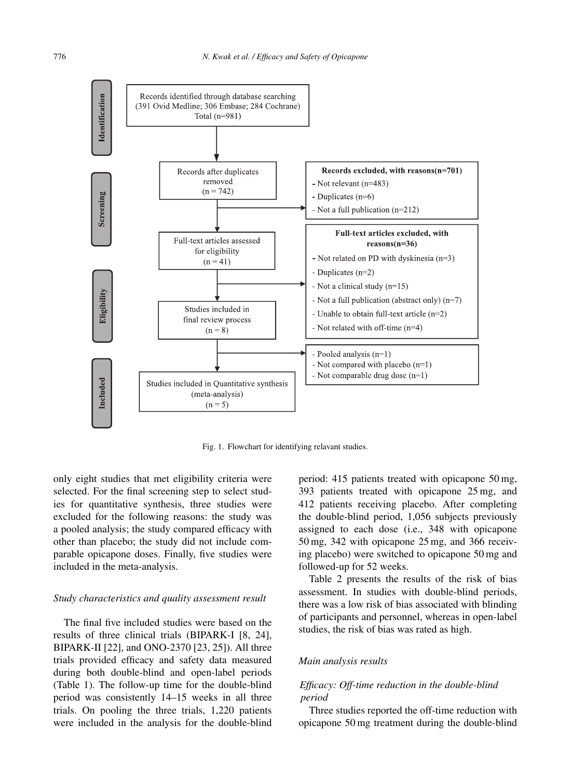

Fig. 1. Flowchart for identifying relavant studies.

only eight studies that met eligibility criteria were selected. For the final screening step to select studies for quantitative synthesis, three studies were excluded for the following reasons: the study was a pooled analysis; the study compared efficacy with other than placebo; the study did not include comparable opicapone doses. Finally, five studies were included in the meta-analysis.

#### *Study characteristics and quality assessment result*

The final five included studies were based on the results of three clinical trials (BIPARK-I [8, 24], BIPARK-II [22], and ONO-2370 [23, 25]). All three trials provided efficacy and safety data measured during both double-blind and open-label periods (Table 1). The follow-up time for the double-blind period was consistently 14–15 weeks in all three trials. On pooling the three trials, 1,220 patients were included in the analysis for the double-blind

period: 415 patients treated with opicapone 50 mg, 393 patients treated with opicapone 25 mg, and 412 patients receiving placebo. After completing the double-blind period, 1,056 subjects previously assigned to each dose (i.e., 348 with opicapone 50 mg, 342 with opicapone 25 mg, and 366 receiving placebo) were switched to opicapone 50 mg and followed-up for 52 weeks.

Table 2 presents the results of the risk of bias assessment. In studies with double-blind periods, there was a low risk of bias associated with blinding of participants and personnel, whereas in open-label studies, the risk of bias was rated as high.

## *Main analysis results*

# *Efficacy: Off-time reduction in the double-blind period*

Three studies reported the off-time reduction with opicapone 50 mg treatment during the double-blind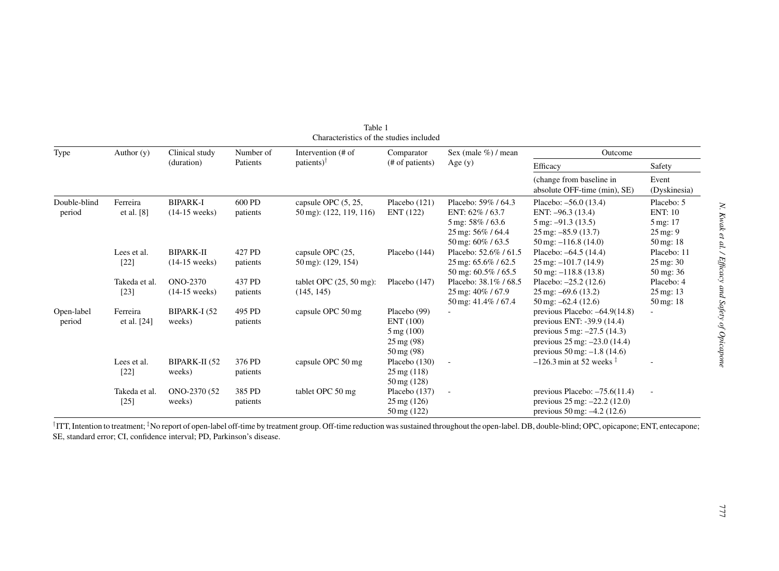| <b>Type</b>  | Author $(y)$  | Clinical study<br>(duration) | Number of<br>Patients | Intervention (# of              | Comparator<br>(# of patients) | Sex (male $\%$ ) / mean        | Outcome                                                  |                         |
|--------------|---------------|------------------------------|-----------------------|---------------------------------|-------------------------------|--------------------------------|----------------------------------------------------------|-------------------------|
|              |               |                              |                       | patients) $\uparrow$            |                               | Age $(y)$                      | Efficacy                                                 | Safety                  |
|              |               |                              |                       |                                 |                               |                                | (change from baseline in<br>absolute OFF-time (min), SE) | Event<br>(Dyskinesia)   |
| Double-blind | Ferreira      | <b>BIPARK-I</b>              | 600 PD                | capsule OPC $(5, 25,$           | Placebo $(121)$               | Placebo: 59% / 64.3            | Placebo: $-56.0$ (13.4)                                  | Placebo: 5              |
| period       | et al. [8]    | $(14-15$ weeks)              | patients              | 50 mg): (122, 119, 116)         | ENT (122)                     | ENT: 62%/63.7                  | ENT: $-96.3(13.4)$                                       | <b>ENT: 10</b>          |
|              |               |                              |                       |                                 |                               | 5 mg: 58% / 63.6               | $5 \text{ mg}$ : $-91.3 \text{ (13.5)}$                  | 5 mg: 17                |
|              |               |                              |                       |                                 |                               | 25 mg: 56% / 64.4              | $25 \,\mathrm{mg}$ : $-85.9 \,(13.7)$                    | $25 \,\mathrm{mg}$ : 9  |
|              |               |                              |                       |                                 |                               | 50 mg: 60% / 63.5              | $50 \,\mathrm{mg}$ : $-116.8$ (14.0)                     | $50 \,\mathrm{mg}$ : 18 |
|              | Lees et al.   | <b>BIPARK-II</b>             | 427 PD                | capsule OPC (25,                | Placebo (144)                 | Placebo: 52.6% / 61.5          | Placebo: -64.5 (14.4)                                    | Placebo: 11             |
|              | $[22]$        | $(14-15$ weeks)              | patients              | $50 \,\mathrm{mg}$ : (129, 154) |                               | $25 \text{ mg}$ : 65.6% / 62.5 | $25 \,\text{mg}$ : $-101.7 \,(14.9)$                     | $25 \,\mathrm{mg}$ : 30 |
|              |               |                              |                       |                                 |                               | 50 mg: 60.5% / 65.5            | $50 \text{ mg}$ : $-118.8 \text{ (13.8)}$                | $50 \text{ mg}$ : 36    |
|              | Takeda et al. | ONO-2370                     | 437 PD                | tablet OPC $(25, 50$ mg):       | Placebo (147)                 | Placebo: 38.1%/68.5            | Placebo: $-25.2$ (12.6)                                  | Placebo: 4              |
|              | $[23]$        | $(14-15$ weeks)              | patients              | (145, 145)                      |                               | 25 mg: 40% / 67.9              | $25 \text{ mg}$ : -69.6 (13.2)                           | $25 \,\mathrm{mg}$ : 13 |
|              |               |                              |                       |                                 |                               | 50 mg: 41.4% / 67.4            | $50 \,\text{mg}$ : $-62.4 \,(12.6)$                      | $50 \,\mathrm{mg}$ : 18 |
| Open-label   | Ferreira      | BIPARK-I (52                 | 495 PD                | capsule OPC 50 mg               | Placebo (99)                  |                                | previous Placebo: $-64.9(14.8)$                          | $\sim$                  |
| period       | et al. [24]   | weeks)                       | patients              |                                 | ENT (100)                     |                                | previous ENT: -39.9 (14.4)                               |                         |
|              |               |                              |                       |                                 | $5 \,\mathrm{mg}$ (100)       |                                | previous $5 \text{ mg}$ : $-27.5 \text{ (14.3)}$         |                         |
|              |               |                              |                       |                                 | $25 \,\mathrm{mg}$ (98)       |                                | previous $25 \text{ mg}$ : $-23.0$ (14.4)                |                         |
|              |               |                              |                       |                                 | $50 \,\mathrm{mg}$ (98)       |                                | previous $50 \,\text{mg}$ : $-1.8$ (14.6)                |                         |
|              | Lees et al.   | BIPARK-II (52                | 376 PD                | capsule OPC 50 mg               | Placebo $(130)$               | $\overline{\phantom{a}}$       | $-126.3$ min at 52 weeks $\frac{1}{2}$                   |                         |
|              | $[22]$        | weeks)                       | patients              |                                 | $25 \,\mathrm{mg}$ (118)      |                                |                                                          |                         |
|              |               |                              |                       |                                 | $50 \,\mathrm{mg}$ (128)      |                                |                                                          |                         |
|              | Takeda et al. | ONO-2370 (52                 | 385 PD                | tablet OPC 50 mg                | Placebo $(137)$               | $\overline{\phantom{a}}$       | previous Placebo: $-75.6(11.4)$                          | $\blacksquare$          |
|              | $[25]$        | weeks)                       | patients              |                                 | $25 \,\mathrm{mg}$ (126)      |                                | previous $25 \text{ mg}$ : $-22.2 \text{ (12.0)}$        |                         |
|              |               |                              |                       |                                 | 50 mg (122)                   |                                | previous $50 \text{ mg}$ : $-4.2$ (12.6)                 |                         |

Table 1Characteristics of the studies included

†ITT, Intention to treatment; ‡No repor<sup>t</sup> of open-label off-time by treatment group. Off-time reduction was sustained throughout the open-label. DB, double-blind; OPC, opicapone; ENT, entecapone; SE, standard error; CI, confidence interval; PD, Parkinson's disease.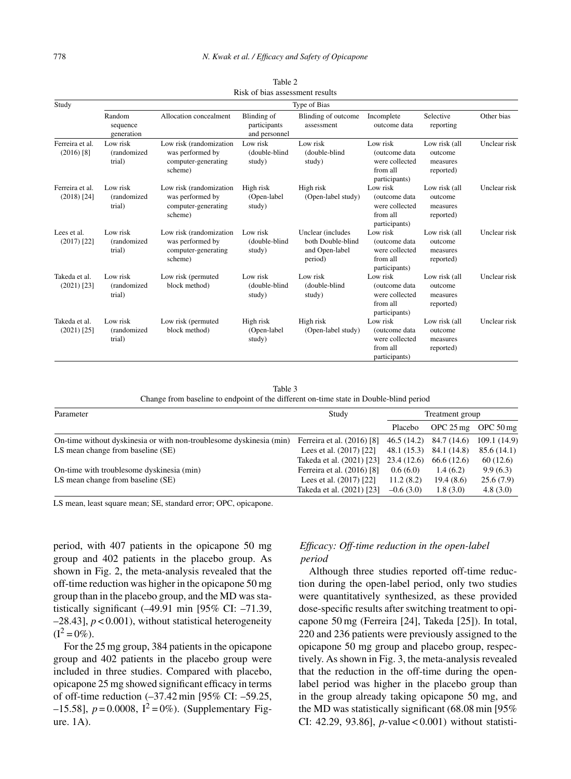| Study                            | Type of Bias                       |                                                                               |                                              |                                                                     |                                                                          |                                                   |              |  |  |
|----------------------------------|------------------------------------|-------------------------------------------------------------------------------|----------------------------------------------|---------------------------------------------------------------------|--------------------------------------------------------------------------|---------------------------------------------------|--------------|--|--|
|                                  | Random<br>sequence<br>generation   | Allocation concealment                                                        | Blinding of<br>participants<br>and personnel | Blinding of outcome<br>assessment                                   | Incomplete<br>outcome data                                               | Selective<br>reporting                            | Other bias   |  |  |
| Ferreira et al.<br>$(2016)$ [8]  | Low risk<br>(randomized<br>trial)  | Low risk (randomization<br>was performed by<br>computer-generating<br>scheme) | Low risk<br>(double-blind<br>study)          | Low risk<br>(double-blind<br>study)                                 | Low risk<br>(outcome data<br>were collected<br>from all<br>participants) | Low risk (all<br>outcome<br>measures<br>reported) | Unclear risk |  |  |
| Ferreira et al.<br>$(2018)$ [24] | Low risk<br>(randomized)<br>trial) | Low risk (randomization<br>was performed by<br>computer-generating<br>scheme) | High risk<br>(Open-label<br>study)           | High risk<br>(Open-label study)                                     | Low risk<br>(outcome data<br>were collected<br>from all<br>participants) | Low risk (all<br>outcome<br>measures<br>reported) | Unclear risk |  |  |
| Lees et al.<br>$(2017)$ [22]     | Low risk<br>(randomized<br>trial)  | Low risk (randomization<br>was performed by<br>computer-generating<br>scheme) | Low risk<br>(double-blind<br>study)          | Unclear (includes<br>both Double-blind<br>and Open-label<br>period) | Low risk<br>(outcome data<br>were collected<br>from all<br>participants) | Low risk (all<br>outcome<br>measures<br>reported) | Unclear risk |  |  |
| Takeda et al.<br>$(2021)$ [23]   | Low risk<br>(randomized<br>trial)  | Low risk (permuted<br>block method)                                           | Low risk<br>(double-blind<br>study)          | Low risk<br>(double-blind<br>study)                                 | Low risk<br>(outcome data<br>were collected<br>from all<br>participants) | Low risk (all<br>outcome<br>measures<br>reported) | Unclear risk |  |  |
| Takeda et al.<br>$(2021)$ [25]   | Low risk<br>(randomized<br>trial)  | Low risk (permuted<br>block method)                                           | High risk<br>(Open-label<br>study)           | High risk<br>(Open-label study)                                     | Low risk<br>(outcome data<br>were collected<br>from all<br>participants) | Low risk (all<br>outcome<br>measures<br>reported) | Unclear risk |  |  |

Table 2 Risk of bias assessment results

Table 3 Change from baseline to endpoint of the different on-time state in Double-blind period

| Parameter                                                           | Study                                 | Treatment group |                     |                        |
|---------------------------------------------------------------------|---------------------------------------|-----------------|---------------------|------------------------|
|                                                                     |                                       | Placebo         | OPC $25 \text{ mg}$ | OPC $50 \,\mathrm{mg}$ |
| On-time without dyskinesia or with non-troublesome dyskinesia (min) | Ferreira et al. (2016) [8]            | 46.5 (14.2)     | 84.7 (14.6)         | 109.1 (14.9)           |
| LS mean change from baseline (SE)                                   | Lees et al. (2017) [22]               | 48.1(15.3)      | 84.1 (14.8)         | 85.6(14.1)             |
|                                                                     | Takeda et al. (2021) [23] 23.4 (12.6) |                 | 66.6 (12.6)         | 60(12.6)               |
| On-time with troublesome dyskinesia (min)                           | Ferreira et al. (2016) [8]            | 0.6(6.0)        | 1.4(6.2)            | 9.9(6.3)               |
| LS mean change from baseline (SE)                                   | Lees et al. (2017) [22]               | 11.2(8.2)       | 19.4(8.6)           | 25.6(7.9)              |
|                                                                     | Takeda et al. (2021) [23]             | $-0.6(3.0)$     | 1.8(3.0)            | 4.8(3.0)               |

LS mean, least square mean; SE, standard error; OPC, opicapone.

period, with 407 patients in the opicapone 50 mg group and 402 patients in the placebo group. As shown in Fig. 2, the meta-analysis revealed that the off-time reduction was higher in the opicapone 50 mg group than in the placebo group, and the MD was statistically significant (-49.91 min [95% CI: -71.39, –28.43], *p* < 0.001), without statistical heterogeneity  $(I^2 = 0\%)$ .

For the 25 mg group, 384 patients in the opicapone group and 402 patients in the placebo group were included in three studies. Compared with placebo, opicapone 25 mg showed significant efficacy in terms of off-time reduction (–37.42 min [95% CI: –59.25,  $-15.58$ ],  $p = 0.0008$ ,  $I^2 = 0\%$ ). (Supplementary Figure. 1A).

# *Efficacy: Off-time reduction in the open-label period*

Although three studies reported off-time reduction during the open-label period, only two studies were quantitatively synthesized, as these provided dose-specific results after switching treatment to opicapone 50 mg (Ferreira [24], Takeda [25]). In total, 220 and 236 patients were previously assigned to the opicapone 50 mg group and placebo group, respectively. As shown in Fig. 3, the meta-analysis revealed that the reduction in the off-time during the openlabel period was higher in the placebo group than in the group already taking opicapone 50 mg, and the MD was statistically significant (68.08 min [95% CI: 42.29, 93.86], *p*-value < 0.001) without statisti-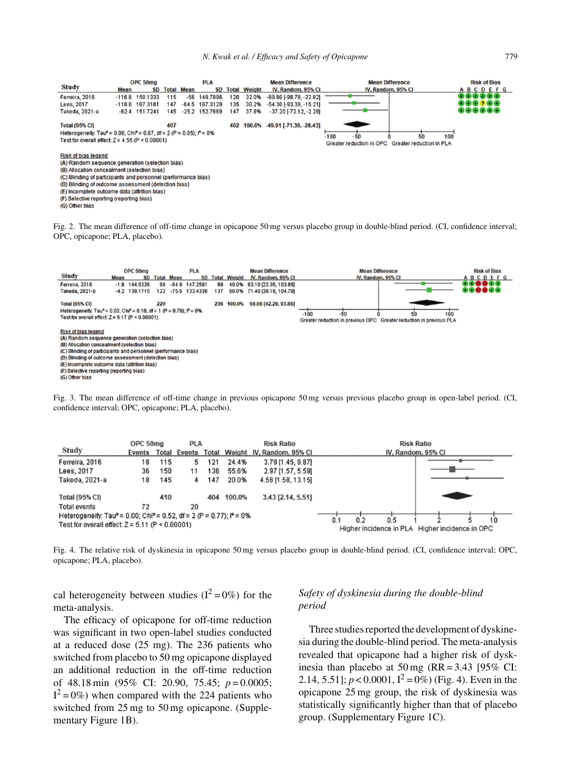

(F) Selective reporting (reporting bias)

(G) Other bias

Fig. 2. The mean difference of off-time change in opicapone 50 mg versus placebo group in double-blind period. (CI, confidence interval; OPC, opicapone; PLA, placebo).



Fig. 3. The mean difference of off-time change in previous opicapone 50 mg versus previous placebo group in open-label period. (CI, confidence interval; OPC, opicapone; PLA, placebo).

| Study                                                                                         | OPC 50mg<br>Events | Total | <b>PLA</b> |     |        | <b>Risk Ratio</b><br>Total Weight IV, Random, 95% CI | <b>Risk Ratio</b><br>IV, Random, 95% CI |
|-----------------------------------------------------------------------------------------------|--------------------|-------|------------|-----|--------|------------------------------------------------------|-----------------------------------------|
| Ferreira, 2016                                                                                | 18                 | 115   | 5.         | 121 | 24.4%  | 3.79 [1.45, 9.87]                                    |                                         |
| Lees, 2017                                                                                    | 36                 | 150   | 11         | 136 | 55.6%  | 2.97 [1.57, 5.59]                                    |                                         |
| Takeda, 2021-a                                                                                | 18                 | 145   | 4          | 147 | 20.0%  | 4.56 [1.58, 13.15]                                   |                                         |
| <b>Total (95% CI)</b>                                                                         |                    | 410   |            | 404 | 100.0% | 3.43 [2.14, 5.51]                                    |                                         |
| <b>Total events</b>                                                                           | 72                 |       | 20         |     |        |                                                      |                                         |
| Heterogeneity: Tau <sup>2</sup> = 0.00; Chi <sup>2</sup> = 0.52, df = 2 (P = 0.77); $P = 0\%$ |                    |       |            |     |        |                                                      | 0.5<br>0.2<br>10<br>0.1                 |
| Test for overall effect: $Z = 5.11$ (P < 0.00001)                                             |                    |       |            |     |        | Higher incidence in PLA Higher incidence in OPC      |                                         |

Fig. 4. The relative risk of dyskinesia in opicapone 50 mg versus placebo group in double-blind period. (CI, confidence interval; OPC, opicapone; PLA, placebo).

cal heterogeneity between studies  $(I^2 = 0\%)$  for the meta-analysis.

The efficacy of opicapone for off-time reduction was significant in two open-label studies conducted at a reduced dose (25 mg). The 236 patients who switched from placebo to 50 mg opicapone displayed an additional reduction in the off-time reduction of 48.18 min (95% CI: 20.90, 75.45; *p* = 0.0005;  $I^2 = 0\%$ ) when compared with the 224 patients who switched from 25 mg to 50 mg opicapone. (Supplementary Figure 1B).

# *Safety of dyskinesia during the double-blind period*

Three studies reported the development of dyskinesia during the double-blind period. The meta-analysis revealed that opicapone had a higher risk of dyskinesia than placebo at  $50 \text{ mg}$  (RR = 3.43 [95% CI: 2.14, 5.51];  $p < 0.0001$ ,  $I^2 = 0\%$  (Fig. 4). Even in the opicapone 25 mg group, the risk of dyskinesia was statistically significantly higher than that of placebo group. (Supplementary Figure 1C).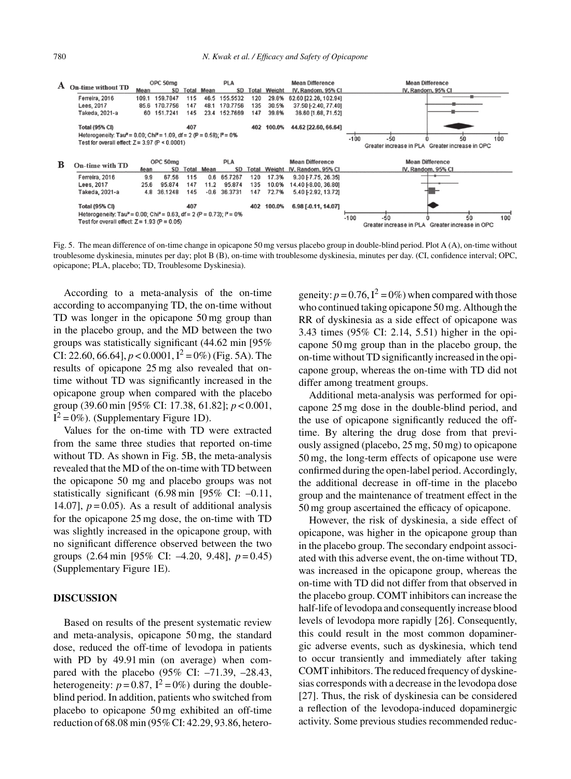

Fig. 5. The mean difference of on-time change in opicapone 50 mg versus placebo group in double-blind period. Plot A (A), on-time without troublesome dyskinesia, minutes per day; plot B (B), on-time with troublesome dyskinesia, minutes per day. (CI, confidence interval; OPC, opicapone; PLA, placebo; TD, Troublesome Dyskinesia).

According to a meta-analysis of the on-time according to accompanying TD, the on-time without TD was longer in the opicapone 50 mg group than in the placebo group, and the MD between the two groups was statistically significant (44.62 min [95% CI: 22.60, 66.64],  $p < 0.0001$ ,  $I^2 = 0\%$  (Fig. 5A). The results of opicapone 25 mg also revealed that ontime without TD was significantly increased in the opicapone group when compared with the placebo group (39.60 min [95% CI: 17.38, 61.82]; *p* < 0.001,  $I^2 = 0\%$ ). (Supplementary Figure 1D).

Values for the on-time with TD were extracted from the same three studies that reported on-time without TD. As shown in Fig. 5B, the meta-analysis revealed that the MD of the on-time with TD between the opicapone 50 mg and placebo groups was not statistically significant (6.98 min [95% CI: –0.11, 14.07],  $p = 0.05$ ). As a result of additional analysis for the opicapone 25 mg dose, the on-time with TD was slightly increased in the opicapone group, with no significant difference observed between the two groups (2.64 min [95% CI: –4.20, 9.48], *p* = 0.45) (Supplementary Figure 1E).

## **DISCUSSION**

Based on results of the present systematic review and meta-analysis, opicapone 50 mg, the standard dose, reduced the off-time of levodopa in patients with PD by 49.91 min (on average) when compared with the placebo (95% CI: –71.39, –28.43, heterogeneity:  $p = 0.87$ ,  $I^2 = 0\%$ ) during the doubleblind period. In addition, patients who switched from placebo to opicapone 50 mg exhibited an off-time reduction of 68.08 min (95% CI: 42.29, 93.86, heterogeneity:  $p = 0.76$ ,  $I^2 = 0\%$  when compared with those who continued taking opicapone 50 mg. Although the RR of dyskinesia as a side effect of opicapone was 3.43 times (95% CI: 2.14, 5.51) higher in the opicapone 50 mg group than in the placebo group, the on-time without TD significantly increased in the opicapone group, whereas the on-time with TD did not differ among treatment groups.

Additional meta-analysis was performed for opicapone 25 mg dose in the double-blind period, and the use of opicapone significantly reduced the offtime. By altering the drug dose from that previously assigned (placebo, 25 mg, 50 mg) to opicapone 50 mg, the long-term effects of opicapone use were confirmed during the open-label period. Accordingly, the additional decrease in off-time in the placebo group and the maintenance of treatment effect in the 50 mg group ascertained the efficacy of opicapone.

However, the risk of dyskinesia, a side effect of opicapone, was higher in the opicapone group than in the placebo group. The secondary endpoint associated with this adverse event, the on-time without TD, was increased in the opicapone group, whereas the on-time with TD did not differ from that observed in the placebo group. COMT inhibitors can increase the half-life of levodopa and consequently increase blood levels of levodopa more rapidly [26]. Consequently, this could result in the most common dopaminergic adverse events, such as dyskinesia, which tend to occur transiently and immediately after taking COMT inhibitors. The reduced frequency of dyskinesias corresponds with a decrease in the levodopa dose [27]. Thus, the risk of dyskinesia can be considered a reflection of the levodopa-induced dopaminergic activity. Some previous studies recommended reduc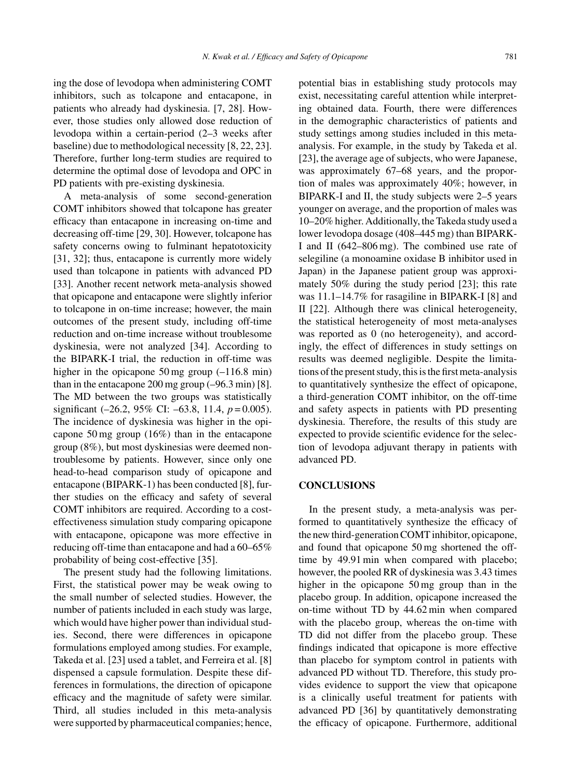ing the dose of levodopa when administering COMT inhibitors, such as tolcapone and entacapone, in patients who already had dyskinesia. [7, 28]. However, those studies only allowed dose reduction of levodopa within a certain-period (2–3 weeks after baseline) due to methodological necessity [8, 22, 23]. Therefore, further long-term studies are required to determine the optimal dose of levodopa and OPC in PD patients with pre-existing dyskinesia.

A meta-analysis of some second-generation COMT inhibitors showed that tolcapone has greater efficacy than entacapone in increasing on-time and decreasing off-time [29, 30]. However, tolcapone has safety concerns owing to fulminant hepatotoxicity [31, 32]; thus, entacapone is currently more widely used than tolcapone in patients with advanced PD [33]. Another recent network meta-analysis showed that opicapone and entacapone were slightly inferior to tolcapone in on-time increase; however, the main outcomes of the present study, including off-time reduction and on-time increase without troublesome dyskinesia, were not analyzed [34]. According to the BIPARK-I trial, the reduction in off-time was higher in the opicapone 50 mg group  $(-116.8 \text{ min})$ than in the entacapone  $200$  mg group  $(-96.3 \text{ min})$  [8]. The MD between the two groups was statistically significant (–26.2, 95% CI: –63.8, 11.4, *p* = 0.005). The incidence of dyskinesia was higher in the opicapone 50 mg group (16%) than in the entacapone group (8%), but most dyskinesias were deemed nontroublesome by patients. However, since only one head-to-head comparison study of opicapone and entacapone (BIPARK-1) has been conducted [8], further studies on the efficacy and safety of several COMT inhibitors are required. According to a costeffectiveness simulation study comparing opicapone with entacapone, opicapone was more effective in reducing off-time than entacapone and had a 60–65% probability of being cost-effective [35].

The present study had the following limitations. First, the statistical power may be weak owing to the small number of selected studies. However, the number of patients included in each study was large, which would have higher power than individual studies. Second, there were differences in opicapone formulations employed among studies. For example, Takeda et al. [23] used a tablet, and Ferreira et al. [8] dispensed a capsule formulation. Despite these differences in formulations, the direction of opicapone efficacy and the magnitude of safety were similar. Third, all studies included in this meta-analysis were supported by pharmaceutical companies; hence, potential bias in establishing study protocols may exist, necessitating careful attention while interpreting obtained data. Fourth, there were differences in the demographic characteristics of patients and study settings among studies included in this metaanalysis. For example, in the study by Takeda et al. [23], the average age of subjects, who were Japanese, was approximately 67–68 years, and the proportion of males was approximately 40%; however, in BIPARK-I and II, the study subjects were 2–5 years younger on average, and the proportion of males was 10–20% higher. Additionally, the Takeda study used a lower levodopa dosage (408–445 mg) than BIPARK-I and II (642–806 mg). The combined use rate of selegiline (a monoamine oxidase B inhibitor used in Japan) in the Japanese patient group was approximately 50% during the study period [23]; this rate was 11.1–14.7% for rasagiline in BIPARK-I [8] and II [22]. Although there was clinical heterogeneity, the statistical heterogeneity of most meta-analyses was reported as 0 (no heterogeneity), and accordingly, the effect of differences in study settings on results was deemed negligible. Despite the limitations of the present study, this is the first meta-analysis to quantitatively synthesize the effect of opicapone, a third-generation COMT inhibitor, on the off-time and safety aspects in patients with PD presenting dyskinesia. Therefore, the results of this study are expected to provide scientific evidence for the selection of levodopa adjuvant therapy in patients with advanced PD.

## **CONCLUSIONS**

In the present study, a meta-analysis was performed to quantitatively synthesize the efficacy of the new third-generation COMT inhibitor, opicapone, and found that opicapone 50 mg shortened the offtime by 49.91 min when compared with placebo; however, the pooled RR of dyskinesia was 3.43 times higher in the opicapone 50 mg group than in the placebo group. In addition, opicapone increased the on-time without TD by 44.62 min when compared with the placebo group, whereas the on-time with TD did not differ from the placebo group. These findings indicated that opicapone is more effective than placebo for symptom control in patients with advanced PD without TD. Therefore, this study provides evidence to support the view that opicapone is a clinically useful treatment for patients with advanced PD [36] by quantitatively demonstrating the efficacy of opicapone. Furthermore, additional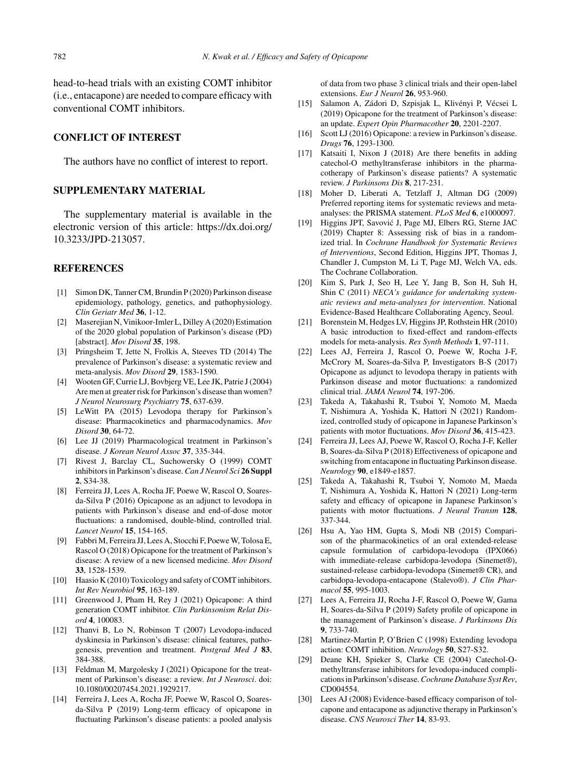head-to-head trials with an existing COMT inhibitor (i.e., entacapone) are needed to compare efficacy with conventional COMT inhibitors.

# **CONFLICT OF INTEREST**

The authors have no conflict of interest to report.

## **SUPPLEMENTARY MATERIAL**

The supplementary material is available in the electronic version of this article: [https://dx.doi.org/](https://dx.doi.org/10.3233/JPD-213057) [10.3233/JPD-213057.](https://dx.doi.org/10.3233/JPD-213057)

#### **REFERENCES**

- [1] Simon DK, Tanner CM, Brundin P (2020) Parkinson disease epidemiology, pathology, genetics, and pathophysiology. *Clin Geriatr Med* **36**, 1-12.
- [2] Maserejian N, Vinikoor-Imler L, Dilley A (2020) Estimation of the 2020 global population of Parkinson's disease (PD) [abstract]. *Mov Disord* **35**, 198.
- [3] Pringsheim T, Jette N, Frolkis A, Steeves TD (2014) The prevalence of Parkinson's disease: a systematic review and meta-analysis. *Mov Disord* **29**, 1583-1590.
- [4] Wooten GF, Currie LJ, Bovbjerg VE, Lee JK, Patrie J (2004) Are men at greater risk for Parkinson's disease than women? *J Neurol Neurosurg Psychiatry* **75**, 637-639.
- [5] LeWitt PA (2015) Levodopa therapy for Parkinson's disease: Pharmacokinetics and pharmacodynamics. *Mov Disord* **30**, 64-72.
- [6] Lee JJ (2019) Pharmacological treatment in Parkinson's disease. *J Korean Neurol Assoc* **37**, 335-344.
- [7] Rivest J, Barclay CL, Suchowersky O (1999) COMT inhibitors in Parkinson's disease. *Can J Neurol Sci* **26 Suppl 2**, S34-38.
- [8] Ferreira JJ, Lees A, Rocha JF, Poewe W, Rascol O, Soaresda-Silva P (2016) Opicapone as an adjunct to levodopa in patients with Parkinson's disease and end-of-dose motor fluctuations: a randomised, double-blind, controlled trial. *Lancet Neurol* **15**, 154-165.
- [9] Fabbri M, Ferreira JJ, Lees A, Stocchi F, Poewe W, Tolosa E, Rascol O (2018) Opicapone for the treatment of Parkinson's disease: A review of a new licensed medicine. *Mov Disord* **33**, 1528-1539.
- [10] Haasio K (2010) Toxicology and safety of COMT inhibitors. *Int Rev Neurobiol* **95**, 163-189.
- [11] Greenwood J, Pham H, Rey J (2021) Opicapone: A third generation COMT inhibitor. *Clin Parkinsonism Relat Disord* **4**, 100083.
- [12] Thanvi B, Lo N, Robinson T (2007) Levodopa-induced dyskinesia in Parkinson's disease: clinical features, pathogenesis, prevention and treatment. *Postgrad Med J* **83**, 384-388.
- [13] Feldman M, Margolesky J (2021) Opicapone for the treatment of Parkinson's disease: a review. *Int J Neurosci*. doi: 10.1080/00207454.2021.1929217.
- [14] Ferreira J, Lees A, Rocha JF, Poewe W, Rascol O, Soaresda-Silva P (2019) Long-term efficacy of opicapone in fluctuating Parkinson's disease patients: a pooled analysis

of data from two phase 3 clinical trials and their open-label extensions. *Eur J Neurol* **26**, 953-960.

- [15] Salamon A, Zádori D, Szpisjak L, Klivényi P, Vécsei L (2019) Opicapone for the treatment of Parkinson's disease: an update. *Expert Opin Pharmacother* **20**, 2201-2207.
- [16] Scott LJ (2016) Opicapone: a review in Parkinson's disease. *Drugs* **76**, 1293-1300.
- [17] Katsaiti I, Nixon J (2018) Are there benefits in adding catechol-O methyltransferase inhibitors in the pharmacotherapy of Parkinson's disease patients? A systematic review. *J Parkinsons Dis* **8**, 217-231.
- [18] Moher D, Liberati A, Tetzlaff J, Altman DG (2009) Preferred reporting items for systematic reviews and metaanalyses: the PRISMA statement. *PLoS Med* **6**, e1000097.
- [19] Higgins JPT, Savović J, Page MJ, Elbers RG, Sterne JAC (2019) Chapter 8: Assessing risk of bias in a randomized trial. In *Cochrane Handbook for Systematic Reviews of Interventions*, Second Edition, Higgins JPT, Thomas J, Chandler J, Cumpston M, Li T, Page MJ, Welch VA, eds. The Cochrane Collaboration.
- [20] Kim S, Park J, Seo H, Lee Y, Jang B, Son H, Suh H, Shin C (2011) *NECA's guidance for undertaking systematic reviews and meta-analyses for intervention*. National Evidence-Based Healthcare Collaborating Agency, Seoul.
- [21] Borenstein M, Hedges LV, Higgins JP, Rothstein HR (2010) A basic introduction to fixed-effect and random-effects models for meta-analysis. *Res Synth Methods* **1**, 97-111.
- [22] Lees AJ, Ferreira J, Rascol O, Poewe W, Rocha J-F, McCrory M, Soares-da-Silva P, Investigators B-S (2017) Opicapone as adjunct to levodopa therapy in patients with Parkinson disease and motor fluctuations: a randomized clinical trial. *JAMA Neurol* **74**, 197-206.
- [23] Takeda A, Takahashi R, Tsuboi Y, Nomoto M, Maeda T, Nishimura A, Yoshida K, Hattori N (2021) Randomized, controlled study of opicapone in Japanese Parkinson's patients with motor fluctuations. *Mov Disord* **36**, 415-423.
- [24] Ferreira JJ, Lees AJ, Poewe W, Rascol O, Rocha J-F, Keller B, Soares-da-Silva P (2018) Effectiveness of opicapone and switching from entacapone in fluctuating Parkinson disease. *Neurology* **90**, e1849-e1857.
- [25] Takeda A, Takahashi R, Tsuboi Y, Nomoto M, Maeda T, Nishimura A, Yoshida K, Hattori N (2021) Long-term safety and efficacy of opicapone in Japanese Parkinson's patients with motor fluctuations. *J Neural Transm* **128**, 337-344.
- [26] Hsu A, Yao HM, Gupta S, Modi NB (2015) Comparison of the pharmacokinetics of an oral extended-release capsule formulation of carbidopa-levodopa (IPX066) with immediate-release carbidopa-levodopa (Sinemet®), sustained-release carbidopa-levodopa (Sinemet® CR), and carbidopa-levodopa-entacapone (Stalevo®). *J Clin Pharmacol* **55**, 995-1003.
- [27] Lees A, Ferreira JJ, Rocha J-F, Rascol O, Poewe W, Gama H, Soares-da-Silva P (2019) Safety profile of opicapone in the management of Parkinson's disease. *J Parkinsons Dis* **9**, 733-740.
- [28] Martinez-Martin P, O'Brien C (1998) Extending levodopa action: COMT inhibition. *Neurology* **50**, S27-S32.
- [29] Deane KH, Spieker S, Clarke CE (2004) Catechol-Omethyltransferase inhibitors for levodopa-induced complications in Parkinson's disease.*Cochrane Database Syst Rev*, CD004554.
- [30] Lees AJ (2008) Evidence-based efficacy comparison of tolcapone and entacapone as adjunctive therapy in Parkinson's disease. *CNS Neurosci Ther* **14**, 83-93.